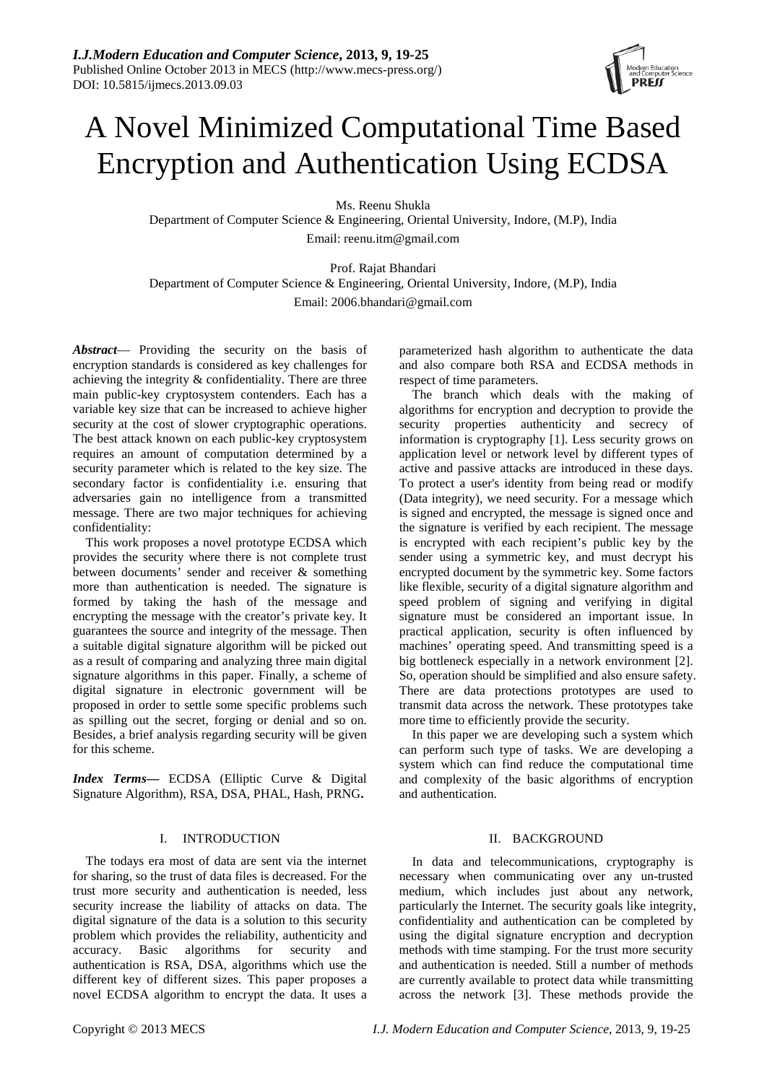# A Novel Minimized Computational Time Based Encryption and Authentication Using ECDSA

Ms. Reenu Shukla

Department of Computer Science & Engineering, Oriental University, Indore, (M.P), India Email: reenu.itm@gmail.com

Prof. Rajat Bhandari Department of Computer Science & Engineering, Oriental University, Indore, (M.P), India Email: 2006.bhandari@gmail.com

*Abstract*— Providing the security on the basis of encryption standards is considered as key challenges for achieving the integrity & confidentiality. There are three main public-key cryptosystem contenders. Each has a variable key size that can be increased to achieve higher security at the cost of slower cryptographic operations. The best attack known on each public-key cryptosystem requires an amount of computation determined by a security parameter which is related to the key size. The secondary factor is confidentiality i.e. ensuring that adversaries gain no intelligence from a transmitted message. There are two major techniques for achieving confidentiality:

This work proposes a novel prototype ECDSA which provides the security where there is not complete trust between documents' sender and receiver & something more than authentication is needed. The signature is formed by taking the hash of the message and encrypting the message with the creator's private key. It guarantees the source and integrity of the message. Then a suitable digital signature algorithm will be picked out as a result of comparing and analyzing three main digital signature algorithms in this paper. Finally, a scheme of digital signature in electronic government will be proposed in order to settle some specific problems such as spilling out the secret, forging or denial and so on. Besides, a brief analysis regarding security will be given for this scheme.

*Index Terms***—** ECDSA (Elliptic Curve & Digital Signature Algorithm), RSA, DSA, PHAL, Hash, PRNG**.**

# I. INTRODUCTION

The todays era most of data are sent via the internet for sharing, so the trust of data files is decreased. For the trust more security and authentication is needed, less security increase the liability of attacks on data. The digital signature of the data is a solution to this security problem which provides the reliability, authenticity and accuracy. Basic algorithms for security and authentication is RSA, DSA, algorithms which use the different key of different sizes. This paper proposes a novel ECDSA algorithm to encrypt the data. It uses a parameterized hash algorithm to authenticate the data and also compare both RSA and ECDSA methods in respect of time parameters.

The branch which deals with the making of algorithms for encryption and decryption to provide the security properties authenticity and secrecy of information is cryptography [1]. Less security grows on application level or network level by different types of active and passive attacks are introduced in these days. To protect a user's identity from being read or modify (Data integrity), we need security. For a message which is signed and encrypted, the message is signed once and the signature is verified by each recipient. The message is encrypted with each recipient's public key by the sender using a symmetric key, and must decrypt his encrypted document by the symmetric key. Some factors like flexible, security of a digital signature algorithm and speed problem of signing and verifying in digital signature must be considered an important issue. In practical application, security is often influenced by machines' operating speed. And transmitting speed is a big bottleneck especially in a network environment [2]. So, operation should be simplified and also ensure safety. There are data protections prototypes are used to transmit data across the network. These prototypes take more time to efficiently provide the security.

In this paper we are developing such a system which can perform such type of tasks. We are developing a system which can find reduce the computational time and complexity of the basic algorithms of encryption and authentication.

# II. BACKGROUND

In data and telecommunications, cryptography is necessary when communicating over any un-trusted medium, which includes just about any network, particularly the Internet. The security goals like integrity, confidentiality and authentication can be completed by using the digital signature encryption and decryption methods with time stamping. For the trust more security and authentication is needed. Still a number of methods are currently available to protect data while transmitting across the network [3]. These methods provide the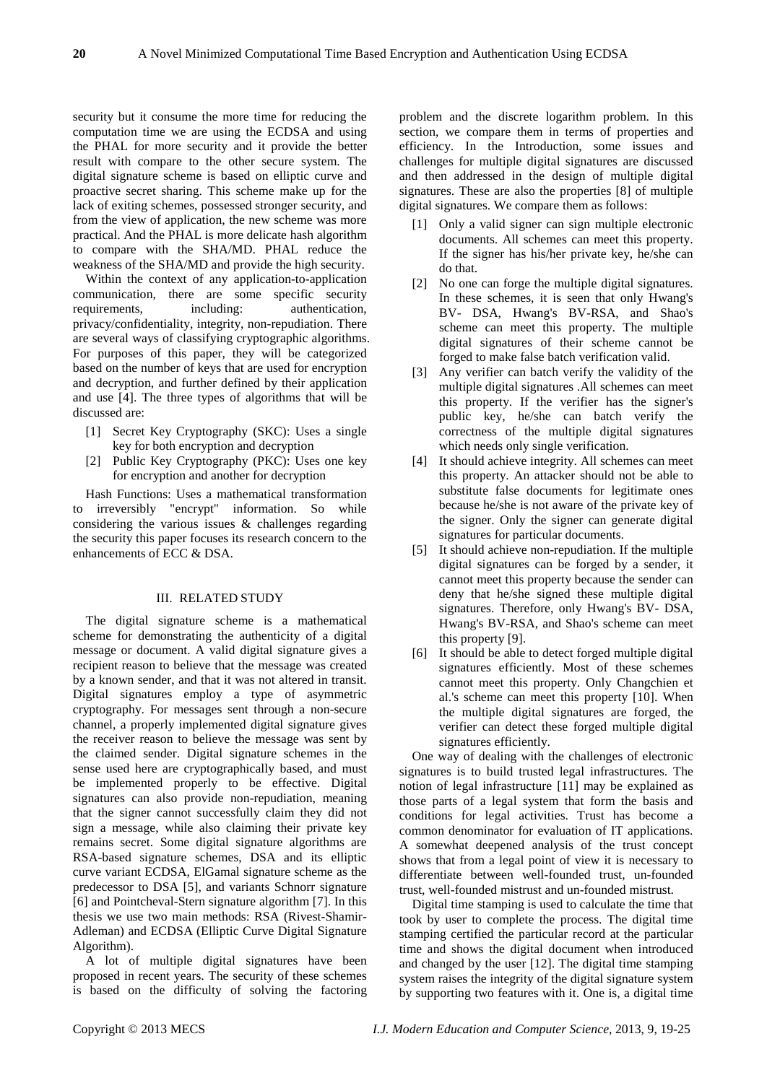security but it consume the more time for reducing the computation time we are using the ECDSA and using the PHAL for more security and it provide the better result with compare to the other secure system. The digital signature scheme is based on elliptic curve and proactive secret sharing. This scheme make up for the lack of exiting schemes, possessed stronger security, and from the view of application, the new scheme was more practical. And the PHAL is more delicate hash algorithm to compare with the SHA/MD. PHAL reduce the weakness of the SHA/MD and provide the high security.

Within the context of any application-to-application communication, there are some specific security requirements, including: authentication, privacy/confidentiality, integrity, non-repudiation. There are several ways of classifying cryptographic algorithms. For purposes of this paper, they will be categorized based on the number of keys that are used for encryption and decryption, and further defined by their application and use [4]. The three types of algorithms that will be discussed are:

- [1] Secret Key Cryptography (SKC): Uses a single key for both encryption and decryption
- [2] Public Key Cryptography (PKC): Uses one key for encryption and another for decryption

Hash Functions: Uses a mathematical transformation to irreversibly "encrypt" information. So while considering the various issues & challenges regarding the security this paper focuses its research concern to the enhancements of ECC & DSA.

### III. RELATED STUDY

The digital signature scheme is a mathematical scheme for demonstrating the authenticity of a digital message or document. A valid digital signature gives a recipient reason to believe that the message was created by a known sender, and that it was not altered in transit. Digital signatures employ a type of asymmetric cryptography. For messages sent through a non-secure channel, a properly implemented digital signature gives the receiver reason to believe the message was sent by the claimed sender. Digital signature schemes in the sense used here are cryptographically based, and must be implemented properly to be effective. Digital signatures can also provide non-repudiation, meaning that the signer cannot successfully claim they did not sign a message, while also claiming their private key remains secret. Some digital signature algorithms are RSA-based signature schemes, DSA and its elliptic curve variant ECDSA, ElGamal signature scheme as the predecessor to DSA [5], and variants Schnorr signature [6] and Pointcheval-Stern signature algorithm [7]. In this thesis we use two main methods: RSA (Rivest-Shamir-Adleman) and ECDSA (Elliptic Curve Digital Signature Algorithm).

A lot of multiple digital signatures have been proposed in recent years. The security of these schemes is based on the difficulty of solving the factoring problem and the discrete logarithm problem. In this section, we compare them in terms of properties and efficiency. In the Introduction, some issues and challenges for multiple digital signatures are discussed and then addressed in the design of multiple digital signatures. These are also the properties [8] of multiple digital signatures. We compare them as follows:

- [1] Only a valid signer can sign multiple electronic documents. All schemes can meet this property. If the signer has his/her private key, he/she can do that.
- [2] No one can forge the multiple digital signatures. In these schemes, it is seen that only Hwang's BV- DSA, Hwang's BV-RSA, and Shao's scheme can meet this property. The multiple digital signatures of their scheme cannot be forged to make false batch verification valid.
- [3] Any verifier can batch verify the validity of the multiple digital signatures .All schemes can meet this property. If the verifier has the signer's public key, he/she can batch verify the correctness of the multiple digital signatures which needs only single verification.
- [4] It should achieve integrity. All schemes can meet this property. An attacker should not be able to substitute false documents for legitimate ones because he/she is not aware of the private key of the signer. Only the signer can generate digital signatures for particular documents.
- [5] It should achieve non-repudiation. If the multiple digital signatures can be forged by a sender, it cannot meet this property because the sender can deny that he/she signed these multiple digital signatures. Therefore, only Hwang's BV- DSA, Hwang's BV-RSA, and Shao's scheme can meet this property [9].
- [6] It should be able to detect forged multiple digital signatures efficiently. Most of these schemes cannot meet this property. Only Changchien et al.'s scheme can meet this property [10]. When the multiple digital signatures are forged, the verifier can detect these forged multiple digital signatures efficiently.

One way of dealing with the challenges of electronic signatures is to build trusted legal infrastructures. The notion of legal infrastructure [11] may be explained as those parts of a legal system that form the basis and conditions for legal activities. Trust has become a common denominator for evaluation of IT applications. A somewhat deepened analysis of the trust concept shows that from a legal point of view it is necessary to differentiate between well-founded trust, un-founded trust, well-founded mistrust and un-founded mistrust.

Digital time stamping is used to calculate the time that took by user to complete the process. The digital time stamping certified the particular record at the particular time and shows the digital document when introduced and changed by the user [12]. The digital time stamping system raises the integrity of the digital signature system by supporting two features with it. One is, a digital time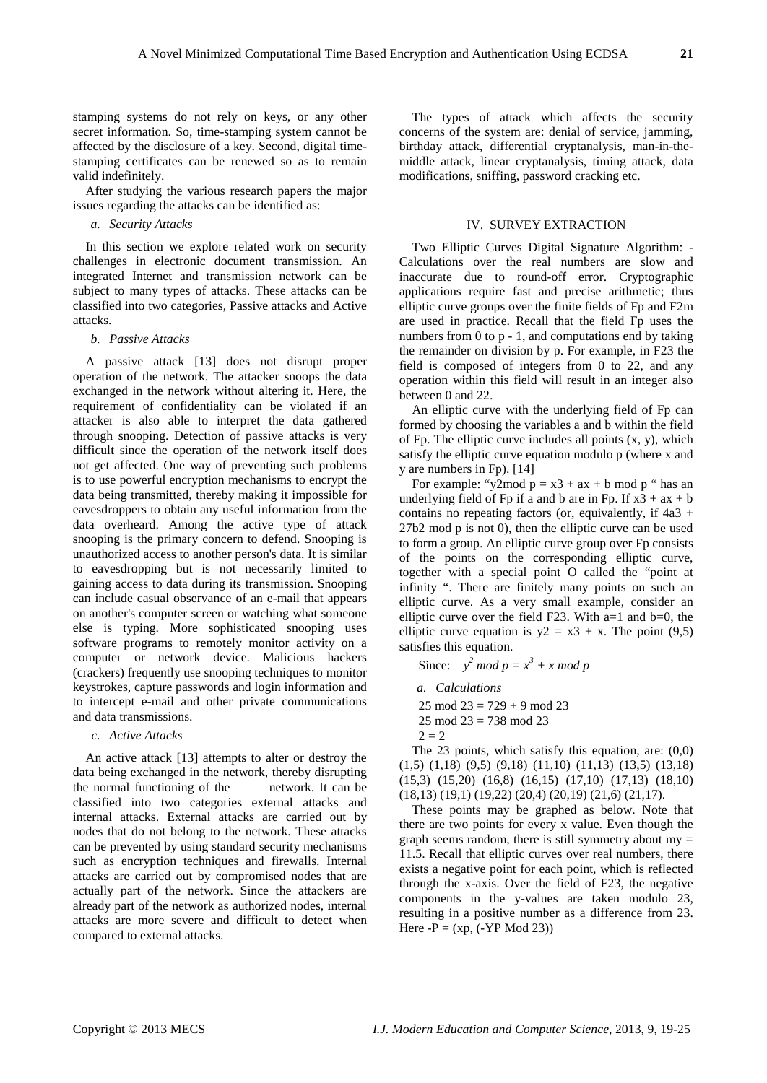stamping systems do not rely on keys, or any other secret information. So, time-stamping system cannot be affected by the disclosure of a key. Second, digital timestamping certificates can be renewed so as to remain valid indefinitely.

After studying the various research papers the major issues regarding the attacks can be identified as:

*a. Security Attacks*

In this section we explore related work on security challenges in electronic document transmission. An integrated Internet and transmission network can be subject to many types of attacks. These attacks can be classified into two categories, Passive attacks and Active attacks.

*b. Passive Attacks* 

A passive attack [13] does not disrupt proper operation of the network. The attacker snoops the data exchanged in the network without altering it. Here, the requirement of confidentiality can be violated if an attacker is also able to interpret the data gathered through snooping. Detection of passive attacks is very difficult since the operation of the network itself does not get affected. One way of preventing such problems is to use powerful encryption mechanisms to encrypt the data being transmitted, thereby making it impossible for eavesdroppers to obtain any useful information from the data overheard. Among the active type of attack snooping is the primary concern to defend. Snooping is unauthorized access to another person's data. It is similar to eavesdropping but is not necessarily limited to gaining access to data during its transmission. Snooping can include casual observance of an e-mail that appears on another's computer screen or watching what someone else is typing. More sophisticated snooping uses software programs to remotely monitor activity on a computer or network device. Malicious hackers (crackers) frequently use snooping techniques to monitor keystrokes, capture passwords and login information and to intercept e-mail and other private communications and data transmissions.

*c. Active Attacks* 

An active attack [13] attempts to alter or destroy the data being exchanged in the network, thereby disrupting the normal functioning of the network. It can be classified into two categories external attacks and internal attacks. External attacks are carried out by nodes that do not belong to the network. These attacks can be prevented by using standard security mechanisms such as encryption techniques and firewalls. Internal attacks are carried out by compromised nodes that are actually part of the network. Since the attackers are already part of the network as authorized nodes, internal attacks are more severe and difficult to detect when compared to external attacks.

The types of attack which affects the security concerns of the system are: denial of service, jamming, birthday attack, differential cryptanalysis, man-in-themiddle attack, linear cryptanalysis, timing attack, data modifications, sniffing, password cracking etc.

#### IV. SURVEY EXTRACTION

Two Elliptic Curves Digital Signature Algorithm: - Calculations over the real numbers are slow and inaccurate due to round-off error. Cryptographic applications require fast and precise arithmetic; thus elliptic curve groups over the finite fields of Fp and F2m are used in practice. Recall that the field Fp uses the numbers from  $0$  to  $p - 1$ , and computations end by taking the remainder on division by p. For example, in F23 the field is composed of integers from 0 to 22, and any operation within this field will result in an integer also between 0 and 22.

An elliptic curve with the underlying field of Fp can formed by choosing the variables a and b within the field of Fp. The elliptic curve includes all points (x, y), which satisfy the elliptic curve equation modulo p (where x and y are numbers in Fp). [14]

For example: "y2mod  $p = x3 + ax + b \mod p$ " has an underlying field of Fp if a and b are in Fp. If  $x3 + ax + b$ contains no repeating factors (or, equivalently, if 4a3 + 27b2 mod p is not 0), then the elliptic curve can be used to form a group. An elliptic curve group over Fp consists of the points on the corresponding elliptic curve, together with a special point O called the "point at infinity ". There are finitely many points on such an elliptic curve. As a very small example, consider an elliptic curve over the field F23. With  $a=1$  and  $b=0$ , the elliptic curve equation is  $y2 = x3 + x$ . The point (9,5) satisfies this equation.

Since:  $y^2 \mod p = x^3 + x \mod p$ 

*a. Calculations*

 $25 \mod 23 = 729 + 9 \mod 23$ 

- 25 mod 23 = 738 mod 23
- $2 = 2$

The 23 points, which satisfy this equation, are:  $(0,0)$ (1,5) (1,18) (9,5) (9,18) (11,10) (11,13) (13,5) (13,18) (15,3) (15,20) (16,8) (16,15) (17,10) (17,13) (18,10) (18,13) (19,1) (19,22) (20,4) (20,19) (21,6) (21,17).

These points may be graphed as below. Note that there are two points for every x value. Even though the graph seems random, there is still symmetry about  $my =$ 11.5. Recall that elliptic curves over real numbers, there exists a negative point for each point, which is reflected through the x-axis. Over the field of F23, the negative components in the y-values are taken modulo 23, resulting in a positive number as a difference from 23. Here  $-P = (xp, (-YP Mod 23))$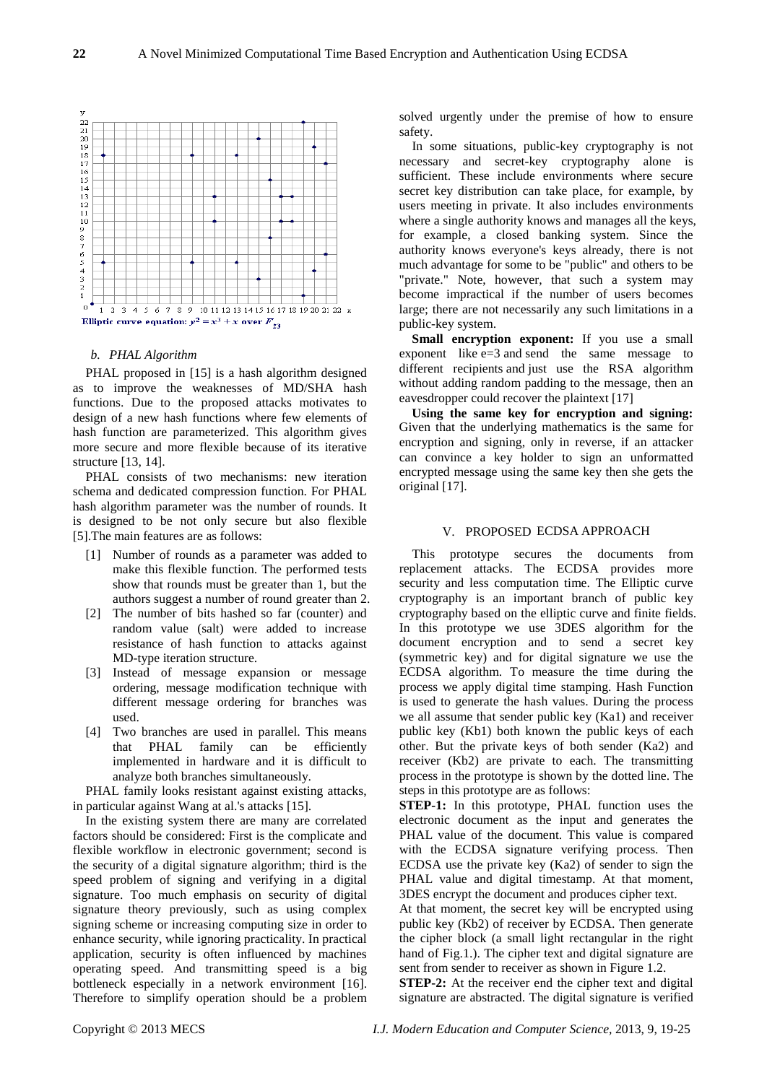

#### *b. PHAL Algorithm*

PHAL proposed in [15] is a hash algorithm designed as to improve the weaknesses of MD/SHA hash functions. Due to the proposed attacks motivates to design of a new hash functions where few elements of hash function are parameterized. This algorithm gives more secure and more flexible because of its iterative structure [13, 14].

PHAL consists of two mechanisms: new iteration schema and dedicated compression function. For PHAL hash algorithm parameter was the number of rounds. It is designed to be not only secure but also flexible [5].The main features are as follows:

- [1] Number of rounds as a parameter was added to make this flexible function. The performed tests show that rounds must be greater than 1, but the authors suggest a number of round greater than 2.
- [2] The number of bits hashed so far (counter) and random value (salt) were added to increase resistance of hash function to attacks against MD-type iteration structure.
- [3] Instead of message expansion or message ordering, message modification technique with different message ordering for branches was used.
- [4] Two branches are used in parallel. This means that PHAL family can be efficiently implemented in hardware and it is difficult to analyze both branches simultaneously.

PHAL family looks resistant against existing attacks, in particular against Wang at al.'s attacks [15].

In the existing system there are many are correlated factors should be considered: First is the complicate and flexible workflow in electronic government; second is the security of a digital signature algorithm; third is the speed problem of signing and verifying in a digital signature. Too much emphasis on security of digital signature theory previously, such as using complex signing scheme or increasing computing size in order to enhance security, while ignoring practicality. In practical application, security is often influenced by machines operating speed. And transmitting speed is a big bottleneck especially in a network environment [16]. Therefore to simplify operation should be a problem solved urgently under the premise of how to ensure safety.

In some situations, public-key cryptography is not necessary and secret-key cryptography alone is sufficient. These include environments where secure secret key distribution can take place, for example, by users meeting in private. It also includes environments where a single authority knows and manages all the keys, for example, a closed banking system. Since the authority knows everyone's keys already, there is not much advantage for some to be "public" and others to be "private." Note, however, that such a system may become impractical if the number of users becomes large; there are not necessarily any such limitations in a public-key system.

**Small encryption exponent:** If you use a small exponent like e=3 and send the same message to different recipients and just use the RSA algorithm without adding random padding to the message, then an eavesdropper could recover the plaintext [17]

**Using the same key for encryption and signing:** Given that the underlying mathematics is the same for encryption and signing, only in reverse, if an attacker can convince a key holder to sign an unformatted encrypted message using the same key then she gets the original [17].

#### V. PROPOSED ECDSA APPROACH

This prototype secures the documents from replacement attacks. The ECDSA provides more security and less computation time. The Elliptic curve cryptography is an important branch of public key cryptography based on the elliptic curve and finite fields. In this prototype we use 3DES algorithm for the document encryption and to send a secret key (symmetric key) and for digital signature we use the ECDSA algorithm. To measure the time during the process we apply digital time stamping. Hash Function is used to generate the hash values. During the process we all assume that sender public key (Ka1) and receiver public key (Kb1) both known the public keys of each other. But the private keys of both sender (Ka2) and receiver (Kb2) are private to each. The transmitting process in the prototype is shown by the dotted line. The steps in this prototype are as follows:

**STEP-1:** In this prototype, PHAL function uses the electronic document as the input and generates the PHAL value of the document. This value is compared with the ECDSA signature verifying process. Then ECDSA use the private key (Ka2) of sender to sign the PHAL value and digital timestamp. At that moment, 3DES encrypt the document and produces cipher text.

At that moment, the secret key will be encrypted using public key (Kb2) of receiver by ECDSA. Then generate the cipher block (a small light rectangular in the right hand of Fig.1.). The cipher text and digital signature are sent from sender to receiver as shown in Figure 1.2.

**STEP-2:** At the receiver end the cipher text and digital signature are abstracted. The digital signature is verified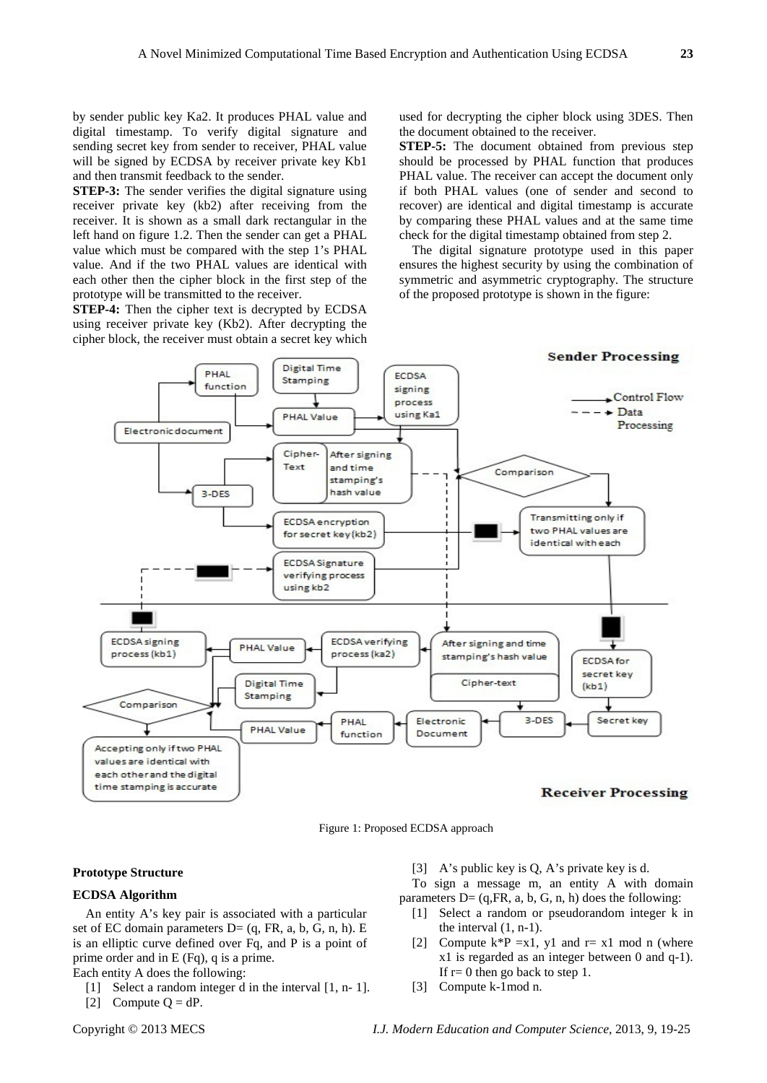by sender public key Ka2. It produces PHAL value and digital timestamp. To verify digital signature and sending secret key from sender to receiver, PHAL value will be signed by ECDSA by receiver private key Kb1 and then transmit feedback to the sender.

**STEP-3:** The sender verifies the digital signature using receiver private key (kb2) after receiving from the receiver. It is shown as a small dark rectangular in the left hand on figure 1.2. Then the sender can get a PHAL value which must be compared with the step 1's PHAL value. And if the two PHAL values are identical with each other then the cipher block in the first step of the prototype will be transmitted to the receiver.

**STEP-4:** Then the cipher text is decrypted by ECDSA using receiver private key (Kb2). After decrypting the cipher block, the receiver must obtain a secret key which used for decrypting the cipher block using 3DES. Then the document obtained to the receiver.

**STEP-5:** The document obtained from previous step should be processed by PHAL function that produces PHAL value. The receiver can accept the document only if both PHAL values (one of sender and second to recover) are identical and digital timestamp is accurate by comparing these PHAL values and at the same time check for the digital timestamp obtained from step 2.

The digital signature prototype used in this paper ensures the highest security by using the combination of symmetric and asymmetric cryptography. The structure of the proposed prototype is shown in the figure:



Figure 1: Proposed ECDSA approach

# **Prototype Structure**

# **ECDSA Algorithm**

An entity A's key pair is associated with a particular set of EC domain parameters  $D=(q, FR, a, b, G, n, h)$ . E is an elliptic curve defined over Fq, and P is a point of prime order and in E (Fq), q is a prime.

Each entity A does the following:

[1] Select a random integer d in the interval [1, n- 1].

[2] Compute  $Q = dP$ .

[3] A's public key is Q, A's private key is d.

To sign a message m, an entity A with domain parameters  $D = (q, FR, a, b, G, n, h)$  does the following:

- [1] Select a random or pseudorandom integer k in the interval (1, n-1).
- [2] Compute  $k^*P = x1$ , y1 and  $r = x1$  mod n (where x1 is regarded as an integer between 0 and q-1). If  $r=0$  then go back to step 1.
- [3] Compute k-1mod n.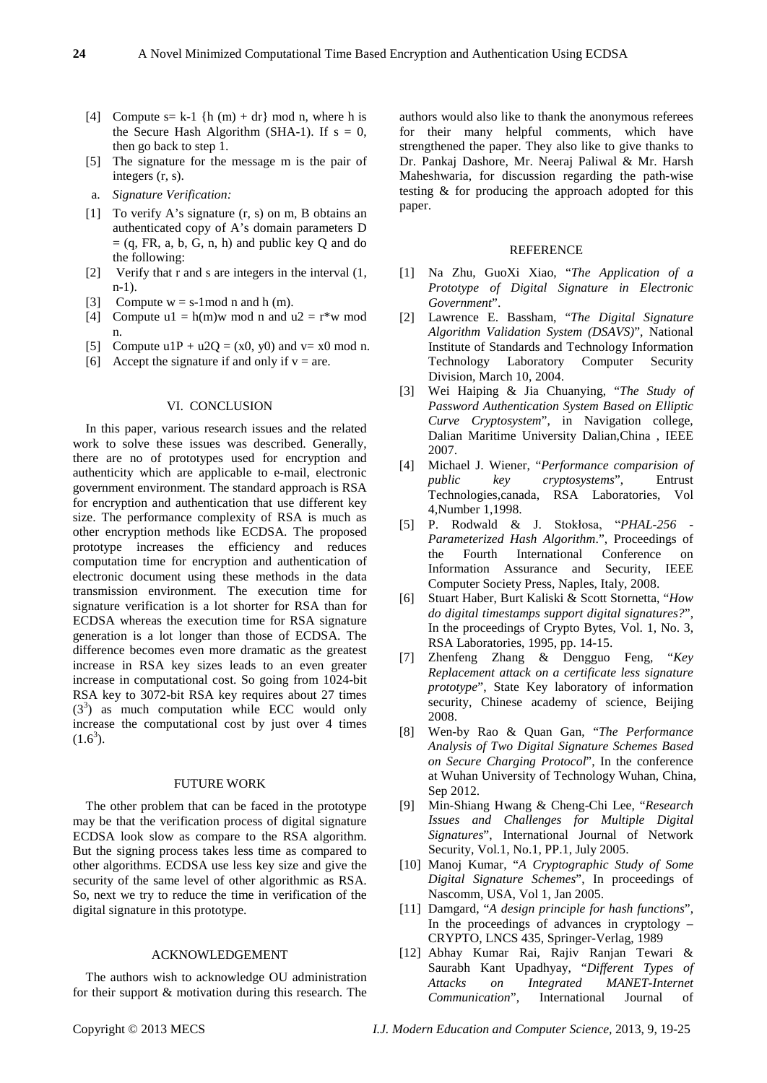- [4] Compute  $s = k-1$  {h (m) + dr} mod n, where h is the Secure Hash Algorithm (SHA-1). If  $s = 0$ , then go back to step 1.
- [5] The signature for the message m is the pair of integers (r, s).
- a. *Signature Verification:*
- [1] To verify A's signature (r, s) on m, B obtains an authenticated copy of A's domain parameters D  $= (q, FR, a, b, G, n, h)$  and public key Q and do the following:
- [2] Verify that r and s are integers in the interval (1, n-1).
- [3] Compute  $w = s$ -1mod n and h (m).
- [4] Compute  $ul = h(m)w \text{ mod } n$  and  $u2 = r*w \text{ mod } n$ n.
- [5] Compute  $u1P + u2Q = (x0, y0)$  and  $v = x0$  mod n.
- [6] Accept the signature if and only if  $v = are$ .

#### VI. CONCLUSION

In this paper, various research issues and the related work to solve these issues was described. Generally, there are no of prototypes used for encryption and authenticity which are applicable to e-mail, electronic government environment. The standard approach is RSA for encryption and authentication that use different key size. The performance complexity of RSA is much as other encryption methods like ECDSA. The proposed prototype increases the efficiency and reduces computation time for encryption and authentication of electronic document using these methods in the data transmission environment. The execution time for signature verification is a lot shorter for RSA than for ECDSA whereas the execution time for RSA signature generation is a lot longer than those of ECDSA. The difference becomes even more dramatic as the greatest increase in RSA key sizes leads to an even greater increase in computational cost. So going from 1024-bit RSA key to 3072-bit RSA key requires about 27 times  $(3<sup>3</sup>)$  as much computation while ECC would only increase the computational cost by just over 4 times  $(1.6^3)$ .

### FUTURE WORK

The other problem that can be faced in the prototype may be that the verification process of digital signature ECDSA look slow as compare to the RSA algorithm. But the signing process takes less time as compared to other algorithms. ECDSA use less key size and give the security of the same level of other algorithmic as RSA. So, next we try to reduce the time in verification of the digital signature in this prototype.

#### ACKNOWLEDGEMENT

The authors wish to acknowledge OU administration for their support & motivation during this research. The

authors would also like to thank the anonymous referees for their many helpful comments, which have strengthened the paper. They also like to give thanks to Dr. Pankaj Dashore, Mr. Neeraj Paliwal & Mr. Harsh Maheshwaria, for discussion regarding the path-wise testing & for producing the approach adopted for this paper.

#### **REFERENCE**

- [1] Na Zhu, GuoXi Xiao, "*The Application of a Prototype of Digital Signature in Electronic Government*".
- [2] Lawrence E. Bassham, "*The Digital Signature Algorithm Validation System (DSAVS)*", National Institute of Standards and Technology Information Technology Laboratory Computer Security Division, March 10, 2004.
- [3] Wei Haiping & Jia Chuanying, "*The Study of Password Authentication System Based on Elliptic Curve Cryptosystem*", in Navigation college, Dalian Maritime University Dalian,China , IEEE 2007.
- [4] Michael J. Wiener, "*Performance comparision of public key cryptosystems*", Entrust Technologies,canada, RSA Laboratories, Vol 4,Number 1,1998.
- [5] P. Rodwald & J. Stokłosa, "*PHAL-256 - Parameterized Hash Algorithm*.", Proceedings of the Fourth International Conference on Information Assurance and Security, IEEE Computer Society Press, Naples, Italy, 2008.
- [6] Stuart Haber, Burt Kaliski & Scott Stornetta, "*How do digital timestamps support digital signatures?*", In the proceedings of Crypto Bytes, Vol. 1, No. 3, RSA Laboratories, 1995, pp. 14-15.
- [7] Zhenfeng Zhang & Dengguo Feng, "*Key Replacement attack on a certificate less signature prototype*", State Key laboratory of information security, Chinese academy of science, Beijing 2008.
- [8] Wen-by Rao & Quan Gan, "*The Performance Analysis of Two Digital Signature Schemes Based on Secure Charging Protocol*", In the conference at Wuhan University of Technology Wuhan, China, Sep 2012.
- [9] Min-Shiang Hwang & Cheng-Chi Lee, "*Research Issues and Challenges for Multiple Digital Signatures*", International Journal of Network Security, Vol.1, No.1, PP.1, July 2005.
- [10] Manoj Kumar, "*A Cryptographic Study of Some Digital Signature Schemes*", In proceedings of Nascomm, USA, Vol 1, Jan 2005.
- [11] Damgard, "*A design principle for hash functions*", In the proceedings of advances in cryptology – CRYPTO, LNCS 435, Springer-Verlag, 1989
- [12] Abhay Kumar Rai, Rajiv Ranjan Tewari & Saurabh Kant Upadhyay, "*Different Types of Attacks on Integrated MANET-Internet Communication*", International Journal of